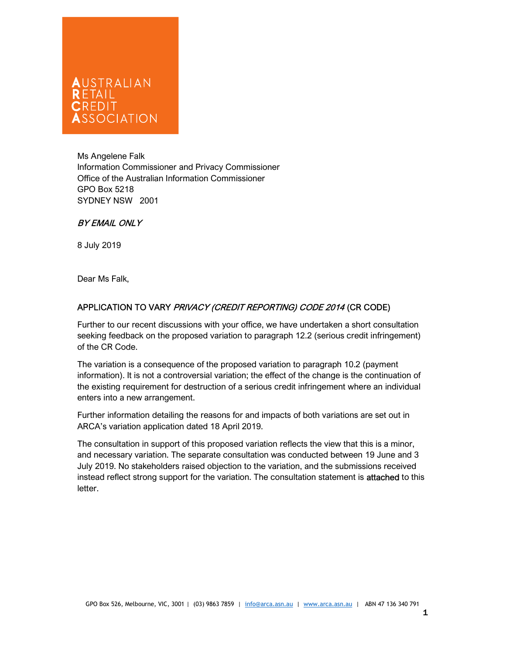## AUSTRALIAN  $R$   $F$   $T$  $A$  $H$ ŕ SOCIATION

Ms Angelene Falk Information Commissioner and Privacy Commissioner Office of the Australian Information Commissioner GPO Box 5218 SYDNEY NSW 2001

## BY EMAIL ONLY

8 July 2019

Dear Ms Falk,

## APPLICATION TO VARY PRIVACY (CREDIT REPORTING) CODE 2014 (CR CODE)

Further to our recent discussions with your office, we have undertaken a short consultation seeking feedback on the proposed variation to paragraph 12.2 (serious credit infringement) of the CR Code.

The variation is a consequence of the proposed variation to paragraph 10.2 (payment information). It is not a controversial variation; the effect of the change is the continuation of the existing requirement for destruction of a serious credit infringement where an individual enters into a new arrangement.

Further information detailing the reasons for and impacts of both variations are set out in ARCA's variation application dated 18 April 2019.

The consultation in support of this proposed variation reflects the view that this is a minor, and necessary variation. The separate consultation was conducted between 19 June and 3 July 2019. No stakeholders raised objection to the variation, and the submissions received instead reflect strong support for the variation. The consultation statement is attached to this letter.